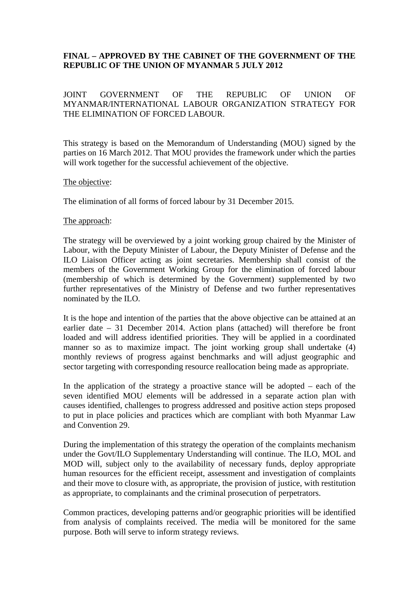# **FINAL – APPROVED BY THE CABINET OF THE GOVERNMENT OF THE REPUBLIC OF THE UNION OF MYANMAR 5 JULY 2012**

## JOINT GOVERNMENT OF THE REPUBLIC OF UNION OF MYANMAR/INTERNATIONAL LABOUR ORGANIZATION STRATEGY FOR THE ELIMINATION OF FORCED LABOUR.

This strategy is based on the Memorandum of Understanding (MOU) signed by the parties on 16 March 2012. That MOU provides the framework under which the parties will work together for the successful achievement of the objective.

### The objective:

The elimination of all forms of forced labour by 31 December 2015.

### The approach:

The strategy will be overviewed by a joint working group chaired by the Minister of Labour, with the Deputy Minister of Labour, the Deputy Minister of Defense and the ILO Liaison Officer acting as joint secretaries. Membership shall consist of the members of the Government Working Group for the elimination of forced labour (membership of which is determined by the Government) supplemented by two further representatives of the Ministry of Defense and two further representatives nominated by the ILO.

It is the hope and intention of the parties that the above objective can be attained at an earlier date – 31 December 2014. Action plans (attached) will therefore be front loaded and will address identified priorities. They will be applied in a coordinated manner so as to maximize impact. The joint working group shall undertake (4) monthly reviews of progress against benchmarks and will adjust geographic and sector targeting with corresponding resource reallocation being made as appropriate.

In the application of the strategy a proactive stance will be adopted  $-$  each of the seven identified MOU elements will be addressed in a separate action plan with causes identified, challenges to progress addressed and positive action steps proposed to put in place policies and practices which are compliant with both Myanmar Law and Convention 29.

During the implementation of this strategy the operation of the complaints mechanism under the Govt/ILO Supplementary Understanding will continue. The ILO, MOL and MOD will, subject only to the availability of necessary funds, deploy appropriate human resources for the efficient receipt, assessment and investigation of complaints and their move to closure with, as appropriate, the provision of justice, with restitution as appropriate, to complainants and the criminal prosecution of perpetrators.

Common practices, developing patterns and/or geographic priorities will be identified from analysis of complaints received. The media will be monitored for the same purpose. Both will serve to inform strategy reviews.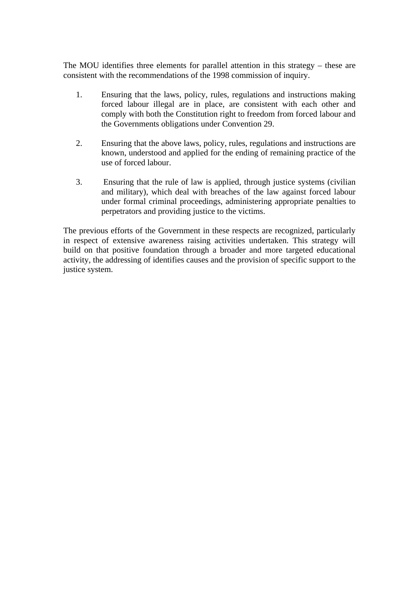The MOU identifies three elements for parallel attention in this strategy – these are consistent with the recommendations of the 1998 commission of inquiry.

- 1. Ensuring that the laws, policy, rules, regulations and instructions making forced labour illegal are in place, are consistent with each other and comply with both the Constitution right to freedom from forced labour and the Governments obligations under Convention 29.
- 2. Ensuring that the above laws, policy, rules, regulations and instructions are known, understood and applied for the ending of remaining practice of the use of forced labour.
- 3. Ensuring that the rule of law is applied, through justice systems (civilian and military), which deal with breaches of the law against forced labour under formal criminal proceedings, administering appropriate penalties to perpetrators and providing justice to the victims.

The previous efforts of the Government in these respects are recognized, particularly in respect of extensive awareness raising activities undertaken. This strategy will build on that positive foundation through a broader and more targeted educational activity, the addressing of identifies causes and the provision of specific support to the justice system.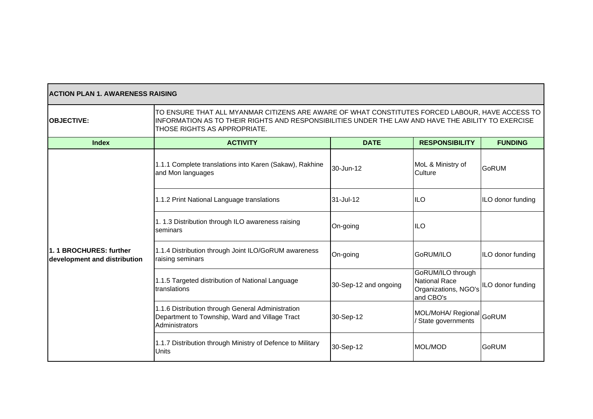| <b>ACTION PLAN 1. AWARENESS RAISING</b>                |                                                                                                                                                                                                                                       |                       |                                                                                |                   |  |
|--------------------------------------------------------|---------------------------------------------------------------------------------------------------------------------------------------------------------------------------------------------------------------------------------------|-----------------------|--------------------------------------------------------------------------------|-------------------|--|
| <b>OBJECTIVE:</b>                                      | TO ENSURE THAT ALL MYANMAR CITIZENS ARE AWARE OF WHAT CONSTITUTES FORCED LABOUR, HAVE ACCESS TO<br>INFORMATION AS TO THEIR RIGHTS AND RESPONSIBILITIES UNDER THE LAW AND HAVE THE ABILITY TO EXERCISE<br>THOSE RIGHTS AS APPROPRIATE. |                       |                                                                                |                   |  |
| <b>Index</b>                                           | <b>ACTIVITY</b>                                                                                                                                                                                                                       | <b>DATE</b>           | <b>RESPONSIBILITY</b>                                                          | <b>FUNDING</b>    |  |
|                                                        | 1.1.1 Complete translations into Karen (Sakaw), Rakhine<br>and Mon languages                                                                                                                                                          | 30-Jun-12             | MoL & Ministry of<br>Culture                                                   | <b>GoRUM</b>      |  |
|                                                        | 1.1.2 Print National Language translations                                                                                                                                                                                            | 31-Jul-12             | <b>ILO</b>                                                                     | ILO donor funding |  |
|                                                        | 1. 1.3 Distribution through ILO awareness raising<br>seminars                                                                                                                                                                         | On-going              | <b>ILO</b>                                                                     |                   |  |
| 1.1 BROCHURES: further<br>development and distribution | 1.1.4 Distribution through Joint ILO/GoRUM awareness<br>raising seminars                                                                                                                                                              | On-going              | GoRUM/ILO                                                                      | ILO donor funding |  |
|                                                        | 1.1.5 Targeted distribution of National Language<br>translations                                                                                                                                                                      | 30-Sep-12 and ongoing | GoRUM/ILO through<br><b>National Race</b><br>Organizations, NGO's<br>and CBO's | ILO donor funding |  |
|                                                        | 1.1.6 Distribution through General Administration<br>Department to Township, Ward and Village Tract<br>Administrators                                                                                                                 | 30-Sep-12             | MOL/MoHA/ Regional GoRUM<br>/ State governments                                |                   |  |
|                                                        | 1.1.7 Distribution through Ministry of Defence to Military<br>Units                                                                                                                                                                   | 30-Sep-12             | MOL/MOD                                                                        | <b>GoRUM</b>      |  |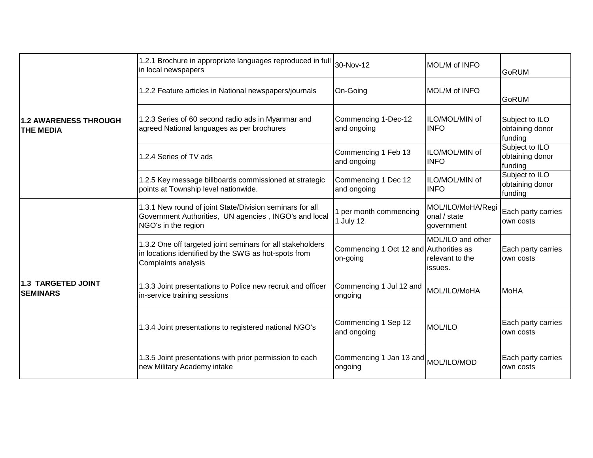| 1.2 AWARENESS THROUGH<br><b>THE MEDIA</b> | 1.2.1 Brochure in appropriate languages reproduced in full 30-Nov-12<br>in local newspapers                                               |                                                    | MOL/M of INFO                                   | <b>GoRUM</b>                                 |
|-------------------------------------------|-------------------------------------------------------------------------------------------------------------------------------------------|----------------------------------------------------|-------------------------------------------------|----------------------------------------------|
|                                           | 1.2.2 Feature articles in National newspapers/journals                                                                                    | On-Going                                           | MOL/M of INFO                                   | <b>GoRUM</b>                                 |
|                                           | 1.2.3 Series of 60 second radio ads in Myanmar and<br>agreed National languages as per brochures                                          | Commencing 1-Dec-12<br>and ongoing                 | ILO/MOL/MIN of<br><b>INFO</b>                   | Subject to ILO<br>obtaining donor<br>funding |
|                                           | 1.2.4 Series of TV ads                                                                                                                    | Commencing 1 Feb 13<br>and ongoing                 | ILO/MOL/MIN of<br><b>INFO</b>                   | Subject to ILO<br>obtaining donor<br>funding |
|                                           | 1.2.5 Key message billboards commissioned at strategic<br>points at Township level nationwide.                                            | Commencing 1 Dec 12<br>and ongoing                 | ILO/MOL/MIN of<br><b>INFO</b>                   | Subject to ILO<br>obtaining donor<br>funding |
| 1.3 TARGETED JOINT<br><b>SEMINARS</b>     | 1.3.1 New round of joint State/Division seminars for all<br>Government Authorities, UN agencies, INGO's and local<br>NGO's in the region  | 1 per month commencing<br>1 July 12                | MOL/ILO/MoHA/Regi<br>onal / state<br>government | Each party carries<br>own costs              |
|                                           | 1.3.2 One off targeted joint seminars for all stakeholders<br>in locations identified by the SWG as hot-spots from<br>Complaints analysis | Commencing 1 Oct 12 and Authorities as<br>on-going | MOL/ILO and other<br>relevant to the<br>issues. | Each party carries<br>own costs              |
|                                           | 1.3.3 Joint presentations to Police new recruit and officer<br>in-service training sessions                                               | Commencing 1 Jul 12 and<br>ongoing                 | MOL/ILO/MoHA                                    | MoHA                                         |
|                                           | 1.3.4 Joint presentations to registered national NGO's                                                                                    | Commencing 1 Sep 12<br>and ongoing                 | <b>MOL/ILO</b>                                  | Each party carries<br>own costs              |
|                                           | 1.3.5 Joint presentations with prior permission to each<br>new Military Academy intake                                                    | Commencing 1 Jan 13 and MOL/ILO/MOD<br>ongoing     |                                                 | Each party carries<br>lown costs             |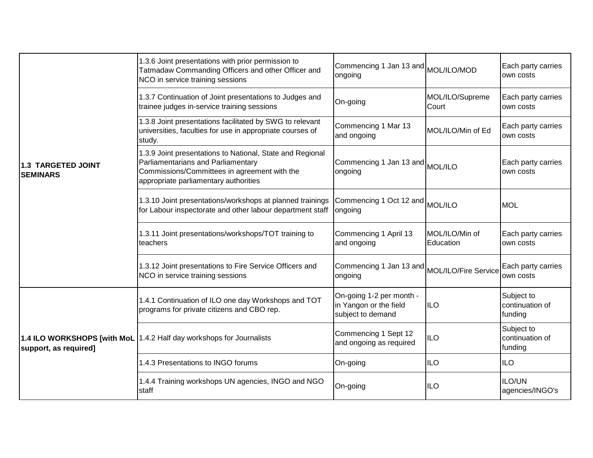|                                       | 1.3.6 Joint presentations with prior permission to<br>Tatmadaw Commanding Officers and other Officer and<br>NCO in service training sessions                                             | Commencing 1 Jan 13 and MOL/ILO/MOD<br>ongoing                          |                             | Each party carries<br>own costs          |
|---------------------------------------|------------------------------------------------------------------------------------------------------------------------------------------------------------------------------------------|-------------------------------------------------------------------------|-----------------------------|------------------------------------------|
|                                       | 1.3.7 Continuation of Joint presentations to Judges and<br>trainee judges in-service training sessions                                                                                   | On-going                                                                | MOL/ILO/Supreme<br>Court    | Each party carries<br>own costs          |
|                                       | 1.3.8 Joint presentations facilitated by SWG to relevant<br>universities, faculties for use in appropriate courses of<br>study.                                                          | Commencing 1 Mar 13<br>and ongoing                                      | MOL/ILO/Min of Ed           | Each party carries<br>lown costs         |
| 1.3 TARGETED JOINT<br><b>SEMINARS</b> | 1.3.9 Joint presentations to National, State and Regional<br>Parliamentarians and Parliamentary<br>Commissions/Committees in agreement with the<br>appropriate parliamentary authorities | Commencing 1 Jan 13 and MOL/ILO<br>ongoing                              |                             | Each party carries<br>own costs          |
|                                       | 1.3.10 Joint presentations/workshops at planned trainings<br>for Labour inspectorate and other labour department staff                                                                   | Commencing 1 Oct 12 and MOL/ILO<br>ongoing                              |                             | <b>MOL</b>                               |
|                                       | 1.3.11 Joint presentations/workshops/TOT training to<br>teachers                                                                                                                         | Commencing 1 April 13<br>and ongoing                                    | MOL/ILO/Min of<br>Education | Each party carries<br>own costs          |
|                                       | 1.3.12 Joint presentations to Fire Service Officers and<br>NCO in service training sessions                                                                                              | Commencing 1 Jan 13 and MOL/ILO/Fire Service<br>ongoing                 |                             | Each party carries<br>own costs          |
| support, as required]                 | 1.4.1 Continuation of ILO one day Workshops and TOT<br>programs for private citizens and CBO rep.                                                                                        | On-going 1-2 per month -<br>in Yangon or the field<br>subject to demand | <b>ILO</b>                  | Subject to<br>continuation of<br>funding |
|                                       | 1.4 ILO WORKSHOPS [with MoL 1.4.2 Half day workshops for Journalists                                                                                                                     | Commencing 1 Sept 12<br>and ongoing as required                         | <b>ILO</b>                  | Subject to<br>continuation of<br>funding |
|                                       | 1.4.3 Presentations to INGO forums                                                                                                                                                       | On-going                                                                | <b>ILO</b>                  | <b>ILO</b>                               |
|                                       | 1.4.4 Training workshops UN agencies, INGO and NGO<br>staff                                                                                                                              | On-going                                                                | <b>ILO</b>                  | ILO/UN<br>agencies/INGO's                |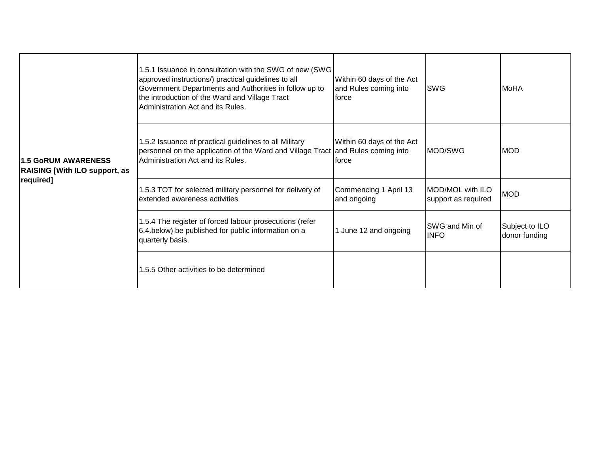| <b>1.5 GoRUM AWARENESS</b><br><b>RAISING [With ILO support, as</b><br>required] | 1.5.1 Issuance in consultation with the SWG of new (SWG<br>approved instructions/) practical guidelines to all<br>Government Departments and Authorities in follow up to<br>the introduction of the Ward and Village Tract<br>Administration Act and its Rules. | Within 60 days of the Act<br>and Rules coming into<br><b>force</b> | <b>SWG</b>                              | <b>MoHA</b>                     |
|---------------------------------------------------------------------------------|-----------------------------------------------------------------------------------------------------------------------------------------------------------------------------------------------------------------------------------------------------------------|--------------------------------------------------------------------|-----------------------------------------|---------------------------------|
|                                                                                 | 1.5.2 Issuance of practical guidelines to all Military<br>personnel on the application of the Ward and Village Tract<br>Administration Act and its Rules.                                                                                                       | Within 60 days of the Act<br>and Rules coming into<br>Iforce       | MOD/SWG                                 | <b>MOD</b>                      |
|                                                                                 | 1.5.3 TOT for selected military personnel for delivery of<br>extended awareness activities                                                                                                                                                                      | Commencing 1 April 13<br>and ongoing                               | MOD/MOL with ILO<br>support as required | <b>MOD</b>                      |
|                                                                                 | 1.5.4 The register of forced labour prosecutions (refer<br>6.4.below) be published for public information on a<br>quarterly basis.                                                                                                                              | 1 June 12 and ongoing                                              | <b>ISWG and Min of</b><br><b>INFO</b>   | Subject to ILO<br>donor funding |
|                                                                                 | 1.5.5 Other activities to be determined                                                                                                                                                                                                                         |                                                                    |                                         |                                 |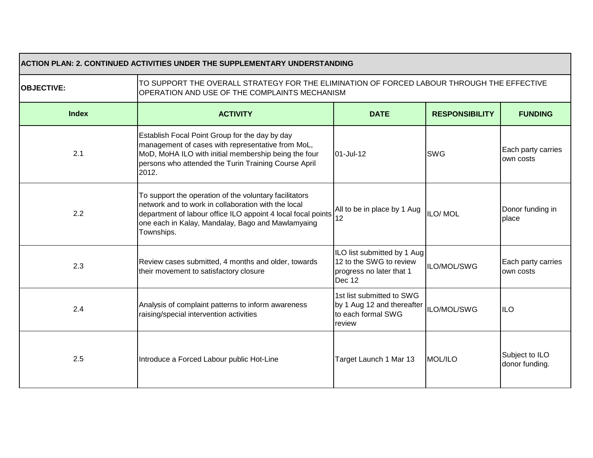| ACTION PLAN: 2. CONTINUED ACTIVITIES UNDER THE SUPPLEMENTARY UNDERSTANDING |                                                                                                                                                                                                                                                  |                                                                                              |                       |                                  |
|----------------------------------------------------------------------------|--------------------------------------------------------------------------------------------------------------------------------------------------------------------------------------------------------------------------------------------------|----------------------------------------------------------------------------------------------|-----------------------|----------------------------------|
| <b>OBJECTIVE:</b>                                                          | TO SUPPORT THE OVERALL STRATEGY FOR THE ELIMINATION OF FORCED LABOUR THROUGH THE EFFECTIVE<br>OPERATION AND USE OF THE COMPLAINTS MECHANISM                                                                                                      |                                                                                              |                       |                                  |
| <b>Index</b>                                                               | <b>ACTIVITY</b>                                                                                                                                                                                                                                  | <b>DATE</b>                                                                                  | <b>RESPONSIBILITY</b> | <b>FUNDING</b>                   |
| 2.1                                                                        | Establish Focal Point Group for the day by day<br>management of cases with representative from MoL,<br>MoD, MoHA ILO with initial membership being the four<br>persons who attended the Turin Training Course April<br>2012.                     | 01-Jul-12                                                                                    | <b>SWG</b>            | Each party carries<br>own costs  |
| 2.2                                                                        | To support the operation of the voluntary facilitators<br>network and to work in collaboration with the local<br>department of labour office ILO appoint 4 local focal points<br>one each in Kalay, Mandalay, Bago and Mawlamyaing<br>Townships. | All to be in place by 1 Aug<br>12                                                            | ILO/MOL               | Donor funding in<br>place        |
| 2.3                                                                        | Review cases submitted, 4 months and older, towards<br>their movement to satisfactory closure                                                                                                                                                    | ILO list submitted by 1 Aug<br>12 to the SWG to review<br>progress no later that 1<br>Dec 12 | ILO/MOL/SWG           | Each party carries<br>own costs  |
| 2.4                                                                        | Analysis of complaint patterns to inform awareness<br>raising/special intervention activities                                                                                                                                                    | 1st list submitted to SWG<br>by 1 Aug 12 and thereafter<br>to each formal SWG<br>review      | ILO/MOL/SWG           | <b>ILO</b>                       |
| 2.5                                                                        | Introduce a Forced Labour public Hot-Line                                                                                                                                                                                                        | Target Launch 1 Mar 13                                                                       | <b>MOL/ILO</b>        | Subject to ILO<br>donor funding. |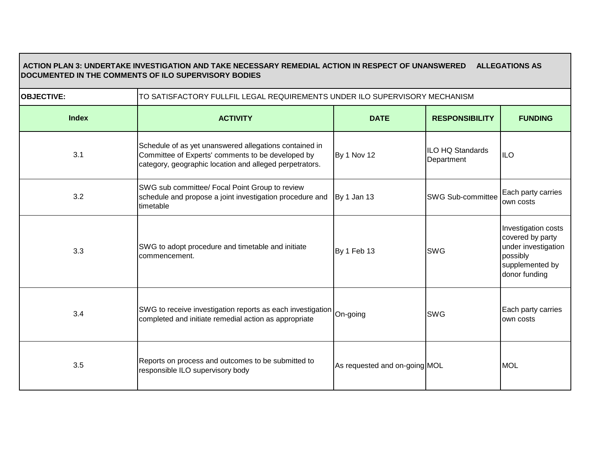# **ACTION PLAN 3: UNDERTAKE INVESTIGATION AND TAKE NECESSARY REMEDIAL ACTION IN RESPECT OF UNANSWERED ALLEGATIONS AS DOCUMENTED IN THE COMMENTS OF ILO SUPERVISORY BODIES**

| <b>OBJECTIVE:</b> | TO SATISFACTORY FULLFIL LEGAL REQUIREMENTS UNDER ILO SUPERVISORY MECHANISM                                                                                             |                               |                                |                                                                                                                |
|-------------------|------------------------------------------------------------------------------------------------------------------------------------------------------------------------|-------------------------------|--------------------------------|----------------------------------------------------------------------------------------------------------------|
| <b>Index</b>      | <b>ACTIVITY</b>                                                                                                                                                        | <b>DATE</b>                   | <b>RESPONSIBILITY</b>          | <b>FUNDING</b>                                                                                                 |
| 3.1               | Schedule of as yet unanswered allegations contained in<br>Committee of Experts' comments to be developed by<br>category, geographic location and alleged perpetrators. | <b>By 1 Nov 12</b>            | ILO HQ Standards<br>Department | <b>IILO</b>                                                                                                    |
| 3.2               | SWG sub committee/ Focal Point Group to review<br>schedule and propose a joint investigation procedure and<br>timetable                                                | By 1 Jan 13                   | <b>SWG Sub-committee</b>       | Each party carries<br>own costs                                                                                |
| 3.3               | SWG to adopt procedure and timetable and initiate<br>commencement.                                                                                                     | By 1 Feb 13                   | <b>SWG</b>                     | Investigation costs<br>covered by party<br>under investigation<br>possibly<br>supplemented by<br>donor funding |
| 3.4               | SWG to receive investigation reports as each investigation On-going<br>completed and initiate remedial action as appropriate                                           |                               | <b>SWG</b>                     | Each party carries<br>own costs                                                                                |
| 3.5               | Reports on process and outcomes to be submitted to<br>responsible ILO supervisory body                                                                                 | As requested and on-going MOL |                                | <b>MOL</b>                                                                                                     |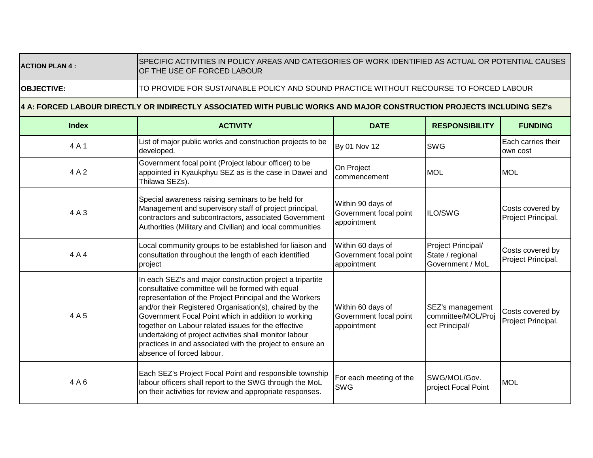### **ACTION PLAN 4 :**

#### SPECIFIC ACTIVITIES IN POLICY AREAS AND CATEGORIES OF WORK IDENTIFIED AS ACTUAL OR POTENTIAL CAUSES OF THE USE OF FORCED LABOUR

**OBJECTIVE:** 

## TO PROVIDE FOR SUSTAINABLE POLICY AND SOUND PRACTICE WITHOUT RECOURSE TO FORCED LABOUR

## **4 A: FORCED LABOUR DIRECTLY OR INDIRECTLY ASSOCIATED WITH PUBLIC WORKS AND MAJOR CONSTRUCTION PROJECTS INCLUDING SEZ's**

| <b>Index</b> | <b>ACTIVITY</b>                                                                                                                                                                                                                                                                                                                                                                                                                                                                                       | <b>DATE</b>                                                | <b>RESPONSIBILITY</b>                                      | <b>FUNDING</b>                         |
|--------------|-------------------------------------------------------------------------------------------------------------------------------------------------------------------------------------------------------------------------------------------------------------------------------------------------------------------------------------------------------------------------------------------------------------------------------------------------------------------------------------------------------|------------------------------------------------------------|------------------------------------------------------------|----------------------------------------|
| 4A1          | List of major public works and construction projects to be<br>developed.                                                                                                                                                                                                                                                                                                                                                                                                                              | By 01 Nov 12                                               | <b>SWG</b>                                                 | Each carries their<br>own cost         |
| 4A2          | Government focal point (Project labour officer) to be<br>appointed in Kyaukphyu SEZ as is the case in Dawei and<br>Thilawa SEZs).                                                                                                                                                                                                                                                                                                                                                                     | On Project<br>commencement                                 | <b>MOL</b>                                                 | <b>MOL</b>                             |
| 4A3          | Special awareness raising seminars to be held for<br>Management and supervisory staff of project principal,<br>contractors and subcontractors, associated Government<br>Authorities (Military and Civilian) and local communities                                                                                                                                                                                                                                                                     | Within 90 days of<br>Government focal point<br>appointment | ILO/SWG                                                    | Costs covered by<br>Project Principal. |
| 4A4          | Local community groups to be established for liaison and<br>consultation throughout the length of each identified<br>project                                                                                                                                                                                                                                                                                                                                                                          | Within 60 days of<br>Government focal point<br>appointment | Project Principal/<br>State / regional<br>Government / MoL | Costs covered by<br>Project Principal. |
| 4A5          | In each SEZ's and major construction project a tripartite<br>consultative committee will be formed with equal<br>representation of the Project Principal and the Workers<br>and/or their Registered Organisation(s), chaired by the<br>Government Focal Point which in addition to working<br>together on Labour related issues for the effective<br>undertaking of project activities shall monitor labour<br>practices in and associated with the project to ensure an<br>absence of forced labour. | Within 60 days of<br>Government focal point<br>appointment | SEZ's management<br>committee/MOL/Proj<br>ect Principal/   | Costs covered by<br>Project Principal. |
| 4A6          | Each SEZ's Project Focal Point and responsible township<br>labour officers shall report to the SWG through the MoL<br>on their activities for review and appropriate responses.                                                                                                                                                                                                                                                                                                                       | For each meeting of the<br>SWG                             | SWG/MOL/Gov.<br>project Focal Point                        | <b>MOL</b>                             |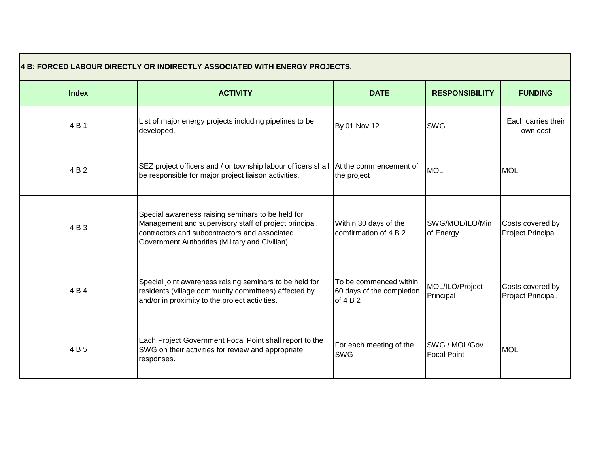| 4 B: FORCED LABOUR DIRECTLY OR INDIRECTLY ASSOCIATED WITH ENERGY PROJECTS. |                                                                                                                                                                                                                |                                                                 |                                      |                                        |
|----------------------------------------------------------------------------|----------------------------------------------------------------------------------------------------------------------------------------------------------------------------------------------------------------|-----------------------------------------------------------------|--------------------------------------|----------------------------------------|
| <b>Index</b>                                                               | <b>ACTIVITY</b>                                                                                                                                                                                                | <b>DATE</b>                                                     | <b>RESPONSIBILITY</b>                | <b>FUNDING</b>                         |
| 4 B 1                                                                      | List of major energy projects including pipelines to be<br>developed.                                                                                                                                          | By 01 Nov 12                                                    | <b>SWG</b>                           | Each carries their<br>own cost         |
| 4 B 2                                                                      | SEZ project officers and / or township labour officers shall At the commencement of<br>be responsible for major project liaison activities.                                                                    | the project                                                     | <b>MOL</b>                           | <b>MOL</b>                             |
| 4 B 3                                                                      | Special awareness raising seminars to be held for<br>Management and supervisory staff of project principal,<br>contractors and subcontractors and associated<br>Government Authorities (Military and Civilian) | Within 30 days of the<br>comfirmation of 4 B 2                  | SWG/MOL/ILO/Min<br>of Energy         | Costs covered by<br>Project Principal. |
| 4 B 4                                                                      | Special joint awareness raising seminars to be held for<br>residents (village community committees) affected by<br>and/or in proximity to the project activities.                                              | To be commenced within<br>60 days of the completion<br>of $4B2$ | MOL/ILO/Project<br>Principal         | Costs covered by<br>Project Principal. |
| 4B5                                                                        | Each Project Government Focal Point shall report to the<br>SWG on their activities for review and appropriate<br>responses.                                                                                    | For each meeting of the<br><b>SWG</b>                           | SWG / MOL/Gov.<br><b>Focal Point</b> | <b>MOL</b>                             |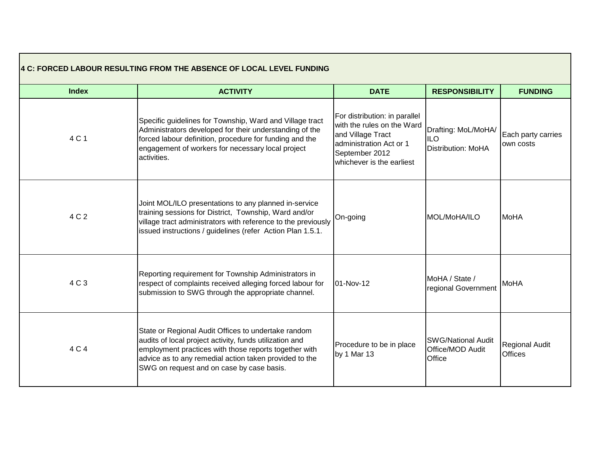|              | 4 C: FORCED LABOUR RESULTING FROM THE ABSENCE OF LOCAL LEVEL FUNDING                                                                                                                                                                                                           |                                                                                                                                                            |                                                                |                                  |
|--------------|--------------------------------------------------------------------------------------------------------------------------------------------------------------------------------------------------------------------------------------------------------------------------------|------------------------------------------------------------------------------------------------------------------------------------------------------------|----------------------------------------------------------------|----------------------------------|
| <b>Index</b> | <b>ACTIVITY</b>                                                                                                                                                                                                                                                                | <b>DATE</b>                                                                                                                                                | <b>RESPONSIBILITY</b>                                          | <b>FUNDING</b>                   |
| 4 C 1        | Specific guidelines for Township, Ward and Village tract<br>Administrators developed for their understanding of the<br>forced labour definition, procedure for funding and the<br>engagement of workers for necessary local project<br>activities.                             | For distribution: in parallel<br>with the rules on the Ward<br>and Village Tract<br>administration Act or 1<br>September 2012<br>whichever is the earliest | Drafting: MoL/MoHA/<br><b>ILO</b><br><b>Distribution: MoHA</b> | Each party carries<br>own costs  |
| 4 C 2        | Joint MOL/ILO presentations to any planned in-service<br>training sessions for District, Township, Ward and/or<br>village tract administrators with reference to the previously<br>issued instructions / guidelines (refer Action Plan 1.5.1.                                  | On-going                                                                                                                                                   | MOL/MoHA/ILO                                                   | <b>MoHA</b>                      |
| 4 C 3        | Reporting requirement for Township Administrators in<br>respect of complaints received alleging forced labour for<br>submission to SWG through the appropriate channel.                                                                                                        | 01-Nov-12                                                                                                                                                  | MoHA / State /<br>regional Government                          | <b>MoHA</b>                      |
| 4 C 4        | State or Regional Audit Offices to undertake random<br>audits of local project activity, funds utilization and<br>employment practices with those reports together with<br>advice as to any remedial action taken provided to the<br>SWG on request and on case by case basis. | Procedure to be in place<br>by 1 Mar 13                                                                                                                    | <b>SWG/National Audit</b><br>Office/MOD Audit<br>Office        | Regional Audit<br><b>Offices</b> |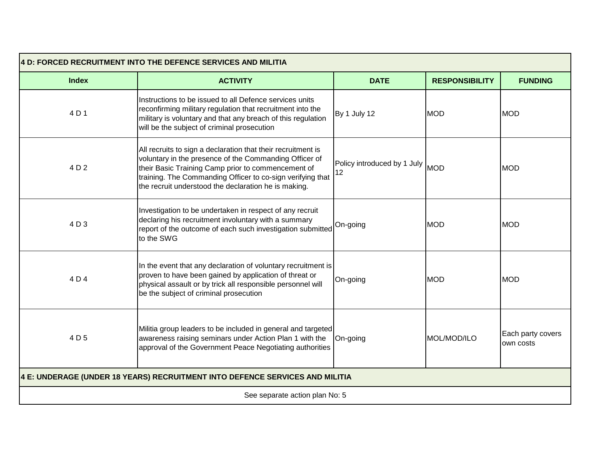| 4 D: FORCED RECRUITMENT INTO THE DEFENCE SERVICES AND MILITIA                |                                                                                                                                                                                                                                                                                                    |                                       |                       |                                |  |
|------------------------------------------------------------------------------|----------------------------------------------------------------------------------------------------------------------------------------------------------------------------------------------------------------------------------------------------------------------------------------------------|---------------------------------------|-----------------------|--------------------------------|--|
| <b>Index</b>                                                                 | <b>ACTIVITY</b>                                                                                                                                                                                                                                                                                    | <b>DATE</b>                           | <b>RESPONSIBILITY</b> | <b>FUNDING</b>                 |  |
| 4 D 1                                                                        | Instructions to be issued to all Defence services units<br>reconfirming military regulation that recruitment into the<br>military is voluntary and that any breach of this regulation<br>will be the subject of criminal prosecution                                                               | By 1 July 12                          | <b>MOD</b>            | <b>MOD</b>                     |  |
| 4 D 2                                                                        | All recruits to sign a declaration that their recruitment is<br>voluntary in the presence of the Commanding Officer of<br>their Basic Training Camp prior to commencement of<br>training. The Commanding Officer to co-sign verifying that<br>the recruit understood the declaration he is making. | Policy introduced by 1 July MOD<br>12 |                       | <b>MOD</b>                     |  |
| 4 D 3                                                                        | Investigation to be undertaken in respect of any recruit<br>declaring his recruitment involuntary with a summary<br>report of the outcome of each such investigation submitted<br>to the SWG                                                                                                       | On-going                              | <b>MOD</b>            | <b>MOD</b>                     |  |
| 4 D 4                                                                        | In the event that any declaration of voluntary recruitment is<br>proven to have been gained by application of threat or<br>physical assault or by trick all responsible personnel will<br>be the subject of criminal prosecution                                                                   | On-going                              | <b>MOD</b>            | <b>MOD</b>                     |  |
| 4 D 5                                                                        | Militia group leaders to be included in general and targeted<br>awareness raising seminars under Action Plan 1 with the<br>approval of the Government Peace Negotiating authorities                                                                                                                | On-going                              | MOL/MOD/ILO           | Each party covers<br>own costs |  |
| 4 E: UNDERAGE (UNDER 18 YEARS) RECRUITMENT INTO DEFENCE SERVICES AND MILITIA |                                                                                                                                                                                                                                                                                                    |                                       |                       |                                |  |
| See separate action plan No: 5                                               |                                                                                                                                                                                                                                                                                                    |                                       |                       |                                |  |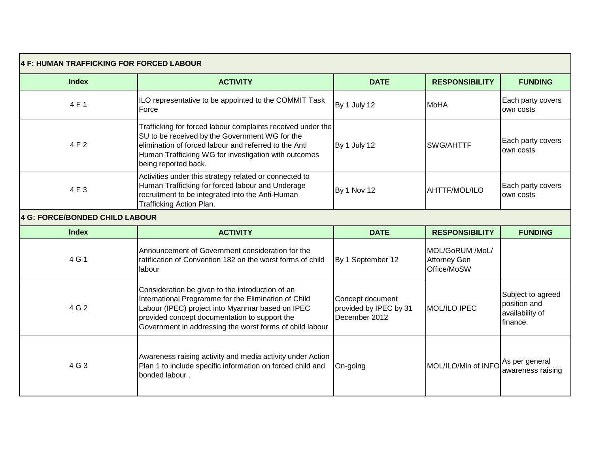| 4 F: HUMAN TRAFFICKING FOR FORCED LABOUR |                                                                                                                                                                                                                                                                           |                                                             |                                                       |                                                                  |
|------------------------------------------|---------------------------------------------------------------------------------------------------------------------------------------------------------------------------------------------------------------------------------------------------------------------------|-------------------------------------------------------------|-------------------------------------------------------|------------------------------------------------------------------|
| <b>Index</b>                             | <b>ACTIVITY</b>                                                                                                                                                                                                                                                           | <b>DATE</b>                                                 | <b>RESPONSIBILITY</b>                                 | <b>FUNDING</b>                                                   |
| 4 F 1                                    | ILO representative to be appointed to the COMMIT Task<br>Force                                                                                                                                                                                                            | By 1 July 12                                                | <b>MoHA</b>                                           | Each party covers<br>own costs                                   |
| 4 F 2                                    | Trafficking for forced labour complaints received under the<br>SU to be received by the Government WG for the<br>elimination of forced labour and referred to the Anti<br>Human Trafficking WG for investigation with outcomes<br>being reported back.                    | By 1 July 12                                                | <b>SWG/AHTTF</b>                                      | Each party covers<br>own costs                                   |
| 4F3                                      | Activities under this strategy related or connected to<br>Human Trafficking for forced labour and Underage<br>recruitment to be integrated into the Anti-Human<br>Trafficking Action Plan.                                                                                | By 1 Nov 12                                                 | <b>AHTTF/MOL/ILO</b>                                  | Each party covers<br>own costs                                   |
| 4 G: FORCE/BONDED CHILD LABOUR           |                                                                                                                                                                                                                                                                           |                                                             |                                                       |                                                                  |
| <b>Index</b>                             | <b>ACTIVITY</b>                                                                                                                                                                                                                                                           | <b>DATE</b>                                                 | <b>RESPONSIBILITY</b>                                 | <b>FUNDING</b>                                                   |
| 4 G 1                                    | Announcement of Government consideration for the<br>ratification of Convention 182 on the worst forms of child<br>labour                                                                                                                                                  | By 1 September 12                                           | MOL/GoRUM /MoL/<br><b>Attorney Gen</b><br>Office/MoSW |                                                                  |
| 4 G 2                                    | Consideration be given to the introduction of an<br>International Programme for the Elimination of Child<br>Labour (IPEC) project into Myanmar based on IPEC<br>provided concept documentation to support the<br>Government in addressing the worst forms of child labour | Concept document<br>provided by IPEC by 31<br>December 2012 | MOL/ILO IPEC                                          | Subject to agreed<br>position and<br>availability of<br>finance. |
| 4 G 3                                    | Awareness raising activity and media activity under Action<br>Plan 1 to include specific information on forced child and<br>bonded labour.                                                                                                                                | On-going                                                    | MOL/ILO/Min of INFO As per general                    | awareness raising                                                |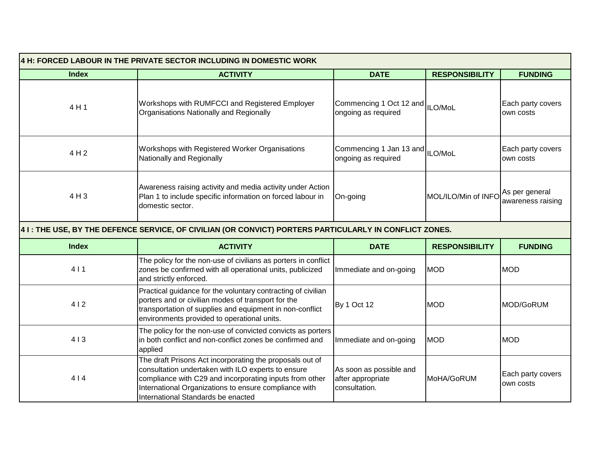| 4 H: FORCED LABOUR IN THE PRIVATE SECTOR INCLUDING IN DOMESTIC WORK |                                                                                                                                                                                                                                                                          |                                                               |                       |                                     |  |
|---------------------------------------------------------------------|--------------------------------------------------------------------------------------------------------------------------------------------------------------------------------------------------------------------------------------------------------------------------|---------------------------------------------------------------|-----------------------|-------------------------------------|--|
| <b>Index</b>                                                        | <b>ACTIVITY</b>                                                                                                                                                                                                                                                          | <b>DATE</b>                                                   | <b>RESPONSIBILITY</b> | <b>FUNDING</b>                      |  |
| 4H1                                                                 | Workshops with RUMFCCI and Registered Employer<br>Organisations Nationally and Regionally                                                                                                                                                                                | Commencing 1 Oct 12 and ILO/MoL<br>ongoing as required        |                       | Each party covers<br>own costs      |  |
| 4 H 2                                                               | Workshops with Registered Worker Organisations<br>Nationally and Regionally                                                                                                                                                                                              | Commencing 1 Jan 13 and ILO/MoL<br>ongoing as required        |                       | Each party covers<br>own costs      |  |
| 4H3                                                                 | Awareness raising activity and media activity under Action<br>Plan 1 to include specific information on forced labour in<br>domestic sector.                                                                                                                             | On-going                                                      | MOL/ILO/Min of INFO   | As per general<br>awareness raising |  |
|                                                                     | 4 I : THE USE, BY THE DEFENCE SERVICE, OF CIVILIAN (OR CONVICT) PORTERS PARTICULARLY IN CONFLICT ZONES.                                                                                                                                                                  |                                                               |                       |                                     |  |
| <b>Index</b>                                                        | <b>ACTIVITY</b>                                                                                                                                                                                                                                                          | <b>DATE</b>                                                   | <b>RESPONSIBILITY</b> | <b>FUNDING</b>                      |  |
| 411                                                                 | The policy for the non-use of civilians as porters in conflict<br>zones be confirmed with all operational units, publicized<br>and strictly enforced.                                                                                                                    | Immediate and on-going                                        | <b>MOD</b>            | <b>MOD</b>                          |  |
| 412                                                                 | Practical guidance for the voluntary contracting of civilian<br>porters and or civilian modes of transport for the<br>transportation of supplies and equipment in non-conflict<br>environments provided to operational units.                                            | By 1 Oct 12                                                   | <b>MOD</b>            | MOD/GoRUM                           |  |
| 413                                                                 | The policy for the non-use of convicted convicts as porters<br>in both conflict and non-conflict zones be confirmed and<br>applied                                                                                                                                       | Immediate and on-going                                        | <b>MOD</b>            | <b>MOD</b>                          |  |
| 414                                                                 | The draft Prisons Act incorporating the proposals out of<br>consultation undertaken with ILO experts to ensure<br>compliance with C29 and incorporating inputs from other<br>International Organizations to ensure compliance with<br>International Standards be enacted | As soon as possible and<br>after appropriate<br>consultation. | MoHA/GoRUM            | Each party covers<br>own costs      |  |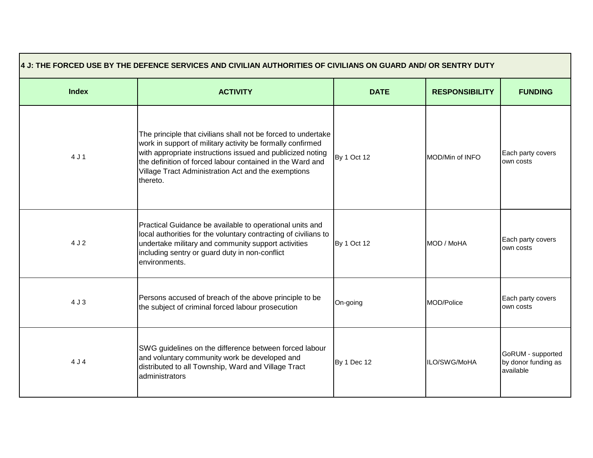| 4 J: THE FORCED USE BY THE DEFENCE SERVICES AND CIVILIAN AUTHORITIES OF CIVILIANS ON GUARD AND/ OR SENTRY DUTY |                                                                                                                                                                                                                                                                                                                           |             |                       |                                                       |
|----------------------------------------------------------------------------------------------------------------|---------------------------------------------------------------------------------------------------------------------------------------------------------------------------------------------------------------------------------------------------------------------------------------------------------------------------|-------------|-----------------------|-------------------------------------------------------|
| <b>Index</b>                                                                                                   | <b>ACTIVITY</b>                                                                                                                                                                                                                                                                                                           | <b>DATE</b> | <b>RESPONSIBILITY</b> | <b>FUNDING</b>                                        |
| 4 J 1                                                                                                          | The principle that civilians shall not be forced to undertake<br>work in support of military activity be formally confirmed<br>with appropriate instructions issued and publicized noting<br>the definition of forced labour contained in the Ward and<br>Village Tract Administration Act and the exemptions<br>thereto. | By 1 Oct 12 | MOD/Min of INFO       | Each party covers<br>own costs                        |
| 4 J 2                                                                                                          | Practical Guidance be available to operational units and<br>local authorities for the voluntary contracting of civilians to<br>undertake military and community support activities<br>including sentry or guard duty in non-conflict<br>environments.                                                                     | By 1 Oct 12 | MOD / MoHA            | Each party covers<br>own costs                        |
| 4J3                                                                                                            | Persons accused of breach of the above principle to be<br>the subject of criminal forced labour prosecution                                                                                                                                                                                                               | On-going    | MOD/Police            | Each party covers<br>own costs                        |
| 4 J 4                                                                                                          | SWG guidelines on the difference between forced labour<br>and voluntary community work be developed and<br>distributed to all Township, Ward and Village Tract<br>administrators                                                                                                                                          | By 1 Dec 12 | ILO/SWG/MoHA          | GoRUM - supported<br>by donor funding as<br>available |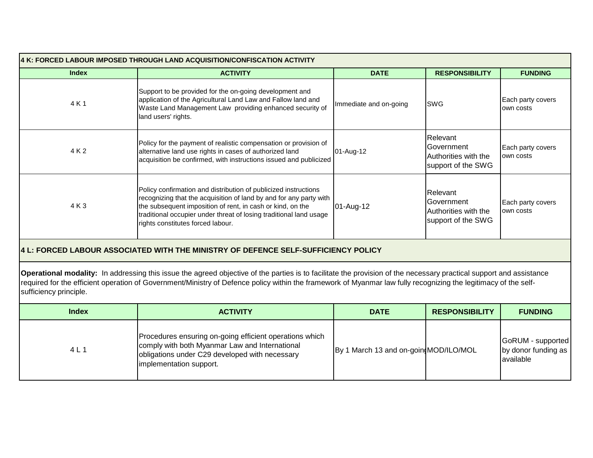| 4 K: FORCED LABOUR IMPOSED THROUGH LAND ACQUISITION/CONFISCATION ACTIVITY                                                                                                                                                                                                                                                                                        |                                                                                                                                                                                                                                                                                                                |                                       |                                                                      |                                                       |
|------------------------------------------------------------------------------------------------------------------------------------------------------------------------------------------------------------------------------------------------------------------------------------------------------------------------------------------------------------------|----------------------------------------------------------------------------------------------------------------------------------------------------------------------------------------------------------------------------------------------------------------------------------------------------------------|---------------------------------------|----------------------------------------------------------------------|-------------------------------------------------------|
| <b>Index</b>                                                                                                                                                                                                                                                                                                                                                     | <b>ACTIVITY</b>                                                                                                                                                                                                                                                                                                | <b>DATE</b>                           | <b>RESPONSIBILITY</b>                                                | <b>FUNDING</b>                                        |
| 4 K 1                                                                                                                                                                                                                                                                                                                                                            | Support to be provided for the on-going development and<br>application of the Agricultural Land Law and Fallow land and<br>Waste Land Management Law providing enhanced security of<br>land users' rights.                                                                                                     | Immediate and on-going                | <b>SWG</b>                                                           | Each party covers<br>own costs                        |
| 4 K 2                                                                                                                                                                                                                                                                                                                                                            | Policy for the payment of realistic compensation or provision of<br>alternative land use rights in cases of authorized land<br>acquisition be confirmed, with instructions issued and publicized                                                                                                               | 01-Aug-12                             | Relevant<br>Government<br>Authorities with the<br>support of the SWG | Each party covers<br>own costs                        |
| 4 K 3                                                                                                                                                                                                                                                                                                                                                            | Policy confirmation and distribution of publicized instructions<br>recognizing that the acquisition of land by and for any party with<br>the subsequent imposition of rent, in cash or kind, on the<br>traditional occupier under threat of losing traditional land usage<br>rights constitutes forced labour. | 01-Aug-12                             | Relevant<br>Government<br>Authorities with the<br>support of the SWG | Each party covers<br>own costs                        |
|                                                                                                                                                                                                                                                                                                                                                                  | 4 L: FORCED LABOUR ASSOCIATED WITH THE MINISTRY OF DEFENCE SELF-SUFFICIENCY POLICY                                                                                                                                                                                                                             |                                       |                                                                      |                                                       |
| Operational modality: In addressing this issue the agreed objective of the parties is to facilitate the provision of the necessary practical support and assistance<br>required for the efficient operation of Government/Ministry of Defence policy within the framework of Myanmar law fully recognizing the legitimacy of the self-<br>sufficiency principle. |                                                                                                                                                                                                                                                                                                                |                                       |                                                                      |                                                       |
| <b>Index</b>                                                                                                                                                                                                                                                                                                                                                     | <b>ACTIVITY</b>                                                                                                                                                                                                                                                                                                | <b>DATE</b>                           | <b>RESPONSIBILITY</b>                                                | <b>FUNDING</b>                                        |
| 4 L 1                                                                                                                                                                                                                                                                                                                                                            | Procedures ensuring on-going efficient operations which<br>comply with both Myanmar Law and International<br>obligations under C29 developed with necessary<br>implementation support.                                                                                                                         | By 1 March 13 and on-goin MOD/ILO/MOL |                                                                      | GoRUM - supported<br>by donor funding as<br>available |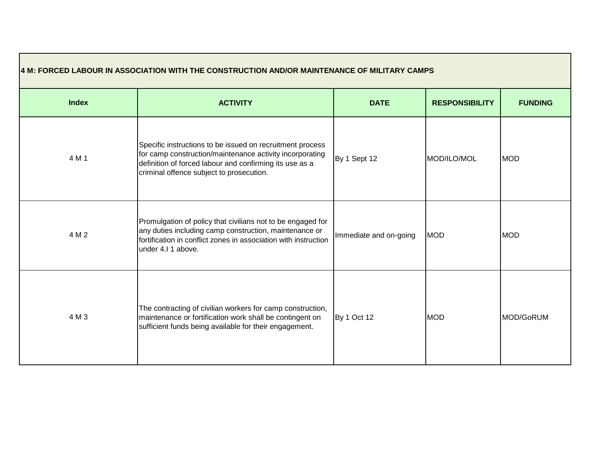| 4 M: FORCED LABOUR IN ASSOCIATION WITH THE CONSTRUCTION AND/OR MAINTENANCE OF MILITARY CAMPS |                                                                                                                                                                                                                              |                        |                       |                |
|----------------------------------------------------------------------------------------------|------------------------------------------------------------------------------------------------------------------------------------------------------------------------------------------------------------------------------|------------------------|-----------------------|----------------|
| <b>Index</b>                                                                                 | <b>ACTIVITY</b>                                                                                                                                                                                                              | <b>DATE</b>            | <b>RESPONSIBILITY</b> | <b>FUNDING</b> |
| 4 M 1                                                                                        | Specific instructions to be issued on recruitment process<br>for camp construction/maintenance activity incorporating<br>definition of forced labour and confirming its use as a<br>criminal offence subject to prosecution. | By 1 Sept 12           | MOD/ILO/MOL           | <b>MOD</b>     |
| 4 M 2                                                                                        | Promulgation of policy that civilians not to be engaged for<br>any duties including camp construction, maintenance or<br>fortification in conflict zones in association with instruction<br>under 4.I 1 above.               | Immediate and on-going | <b>MOD</b>            | <b>MOD</b>     |
| 4 M 3                                                                                        | The contracting of civilian workers for camp construction,<br>maintenance or fortification work shall be contingent on<br>sufficient funds being available for their engagement.                                             | By 1 Oct 12            | <b>MOD</b>            | MOD/GoRUM      |

Е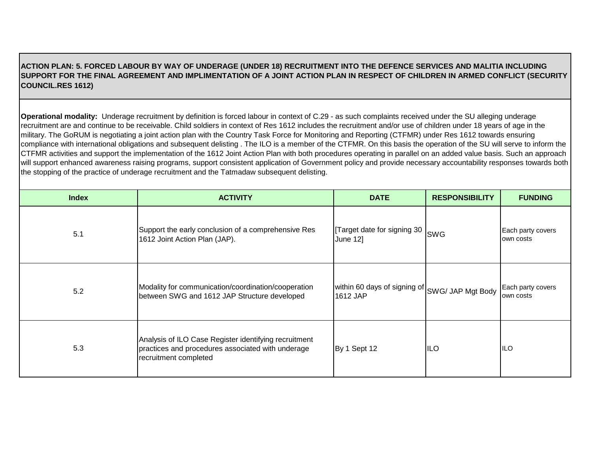## **ACTION PLAN: 5. FORCED LABOUR BY WAY OF UNDERAGE (UNDER 18) RECRUITMENT INTO THE DEFENCE SERVICES AND MALITIA INCLUDING SUPPORT FOR THE FINAL AGREEMENT AND IMPLIMENTATION OF A JOINT ACTION PLAN IN RESPECT OF CHILDREN IN ARMED CONFLICT (SECURITY COUNCIL.RES 1612)**

**Operational modality:** Underage recruitment by definition is forced labour in context of C.29 - as such complaints received under the SU alleging underage recruitment are and continue to be receivable. Child soldiers in context of Res 1612 includes the recruitment and/or use of children under 18 years of age in the military. The GoRUM is negotiating a joint action plan with the Country Task Force for Monitoring and Reporting (CTFMR) under Res 1612 towards ensuring compliance with international obligations and subsequent delisting. The ILO is a member of the CTFMR. On this basis the operation of the SU will serve to inform the CTFMR activities and support the implementation of the 1612 Joint Action Plan with both procedures operating in parallel on an added value basis. Such an approach will support enhanced awareness raising programs, support consistent application of Government policy and provide necessary accountability responses towards both the stopping of the practice of underage recruitment and the Tatmadaw subsequent delisting.

| <b>Index</b> | <b>ACTIVITY</b>                                                                                                                     | <b>DATE</b>                                                | <b>RESPONSIBILITY</b> | <b>FUNDING</b>                 |
|--------------|-------------------------------------------------------------------------------------------------------------------------------------|------------------------------------------------------------|-----------------------|--------------------------------|
| 5.1          | Support the early conclusion of a comprehensive Res<br>1612 Joint Action Plan (JAP).                                                | Target date for signing 30 SWG<br><b>June 121</b>          |                       | Each party covers<br>own costs |
| 5.2          | Modality for communication/coordination/cooperation<br>between SWG and 1612 JAP Structure developed                                 | within 60 days of signing of SWG/ JAP Mgt Body<br>1612 JAP |                       | Each party covers<br>own costs |
| 5.3          | Analysis of ILO Case Register identifying recruitment<br>practices and procedures associated with underage<br>recruitment completed | By 1 Sept 12                                               | <b>ILO</b>            | <b>ILO</b>                     |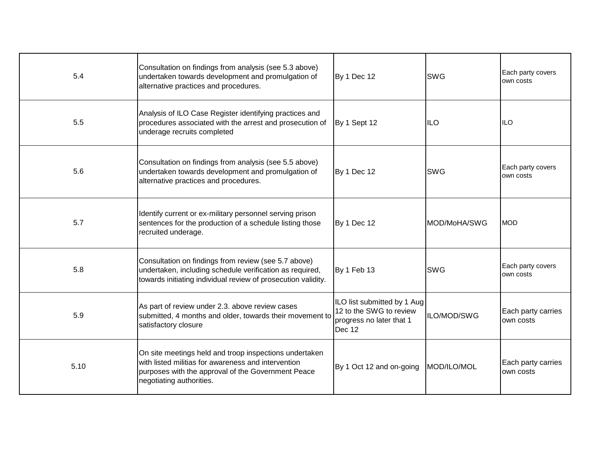| 5.4  | Consultation on findings from analysis (see 5.3 above)<br>undertaken towards development and promulgation of<br>alternative practices and procedures.                                           | By 1 Dec 12                                                                                  | <b>SWG</b>           | Each party covers<br>own costs  |
|------|-------------------------------------------------------------------------------------------------------------------------------------------------------------------------------------------------|----------------------------------------------------------------------------------------------|----------------------|---------------------------------|
| 5.5  | Analysis of ILO Case Register identifying practices and<br>procedures associated with the arrest and prosecution of<br>underage recruits completed                                              | By 1 Sept 12                                                                                 | <b>ILO</b>           | IILO                            |
| 5.6  | Consultation on findings from analysis (see 5.5 above)<br>undertaken towards development and promulgation of<br>alternative practices and procedures.                                           | By 1 Dec 12                                                                                  | <b>SWG</b>           | Each party covers<br>own costs  |
| 5.7  | Identify current or ex-military personnel serving prison<br>sentences for the production of a schedule listing those<br>recruited underage.                                                     | By 1 Dec 12                                                                                  | <b>IMOD/MoHA/SWG</b> | <b>MOD</b>                      |
| 5.8  | Consultation on findings from review (see 5.7 above)<br>undertaken, including schedule verification as required,<br>towards initiating individual review of prosecution validity.               | By 1 Feb 13                                                                                  | <b>SWG</b>           | Each party covers<br>own costs  |
| 5.9  | As part of review under 2.3. above review cases<br>submitted, 4 months and older, towards their movement to<br>satisfactory closure                                                             | ILO list submitted by 1 Aug<br>12 to the SWG to review<br>progress no later that 1<br>Dec 12 | ILO/MOD/SWG          | Each party carries<br>own costs |
| 5.10 | On site meetings held and troop inspections undertaken<br>with listed militias for awareness and intervention<br>purposes with the approval of the Government Peace<br>negotiating authorities. | By 1 Oct 12 and on-going                                                                     | MOD/ILO/MOL          | Each party carries<br>own costs |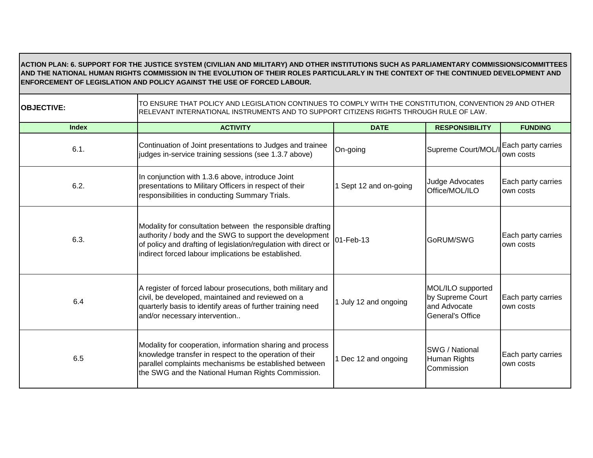### **ACTION PLAN: 6. SUPPORT FOR THE JUSTICE SYSTEM (CIVILIAN AND MILITARY) AND OTHER INSTITUTIONS SUCH AS PARLIAMENTARY COMMISSIONS/COMMITTEES AND THE NATIONAL HUMAN RIGHTS COMMISSION IN THE EVOLUTION OF THEIR ROLES PARTICULARLY IN THE CONTEXT OF THE CONTINUED DEVELOPMENT AND ENFORCEMENT OF LEGISLATION AND POLICY AGAINST THE USE OF FORCED LABOUR.**

**OBJECTIVE:** TO ENSURE THAT POLICY AND LEGISLATION CONTINUES TO COMPLY WITH THE CONSTITUTION, CONVENTION 29 AND OTHER RELEVANT INTERNATIONAL INSTRUMENTS AND TO SUPPORT CITIZENS RIGHTS THROUGH RULE OF LAW.

| <b>Index</b> | <b>ACTIVITY</b>                                                                                                                                                                                                                                 | <b>DATE</b>          | <b>RESPONSIBILITY</b>                                                     | <b>FUNDING</b>                   |
|--------------|-------------------------------------------------------------------------------------------------------------------------------------------------------------------------------------------------------------------------------------------------|----------------------|---------------------------------------------------------------------------|----------------------------------|
| 6.1.         | Continuation of Joint presentations to Judges and trainee<br>judges in-service training sessions (see 1.3.7 above)                                                                                                                              | On-going             | Supreme Court/MOL/I                                                       | Each party carries<br>lown costs |
| 6.2.         | In conjunction with 1.3.6 above, introduce Joint<br>presentations to Military Officers in respect of their<br>responsibilities in conducting Summary Trials.                                                                                    | Sept 12 and on-going | Judge Advocates<br>Office/MOL/ILO                                         | Each party carries<br>lown costs |
| 6.3.         | Modality for consultation between the responsible drafting<br>authority / body and the SWG to support the development<br>of policy and drafting of legislation/regulation with direct or<br>indirect forced labour implications be established. | 01-Feb-13            | GoRUM/SWG                                                                 | Each party carries<br>own costs  |
| 6.4          | A register of forced labour prosecutions, both military and<br>civil, be developed, maintained and reviewed on a<br>quarterly basis to identify areas of further training need<br>and/or necessary intervention                                 | July 12 and ongoing  | MOL/ILO supported<br>by Supreme Court<br>and Advocate<br>General's Office | Each party carries<br>own costs  |
| 6.5          | Modality for cooperation, information sharing and process<br>knowledge transfer in respect to the operation of their<br>parallel complaints mechanisms be established between<br>the SWG and the National Human Rights Commission.              | Dec 12 and ongoing   | <b>SWG / National</b><br>Human Rights<br>Commission                       | Each party carries<br>own costs  |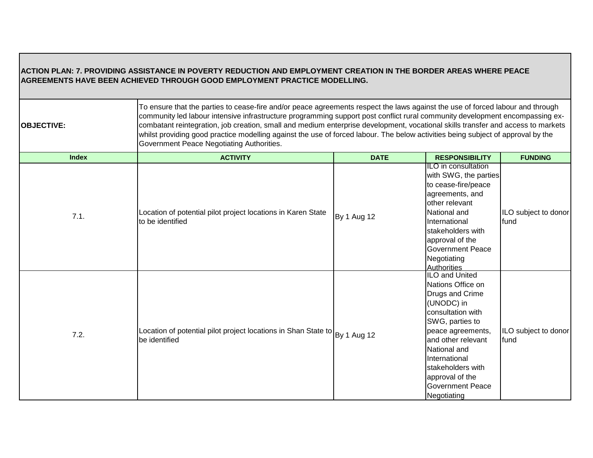## **ACTION PLAN: 7. PROVIDING ASSISTANCE IN POVERTY REDUCTION AND EMPLOYMENT CREATION IN THE BORDER AREAS WHERE PEACE AGREEMENTS HAVE BEEN ACHIEVED THROUGH GOOD EMPLOYMENT PRACTICE MODELLING.**

**OBJECTIVE:** 

To ensure that the parties to cease-fire and/or peace agreements respect the laws against the use of forced labour and through community led labour intensive infrastructure programming support post conflict rural community development encompassing excombatant reintegration, job creation, small and medium enterprise development, vocational skills transfer and access to markets whilst providing good practice modelling against the use of forced labour. The below activities being subject of approval by the Government Peace Negotiating Authorities.

| <b>Index</b> | <b>ACTIVITY</b>                                                                             | <b>DATE</b> | <b>RESPONSIBILITY</b>                                                                                                                                                                                                                                                             | <b>FUNDING</b>               |
|--------------|---------------------------------------------------------------------------------------------|-------------|-----------------------------------------------------------------------------------------------------------------------------------------------------------------------------------------------------------------------------------------------------------------------------------|------------------------------|
| 7.1.         | Location of potential pilot project locations in Karen State<br>to be identified            | By 1 Aug 12 | IILO in consultation<br>with SWG, the parties<br>to cease-fire/peace<br>agreements, and<br>other relevant<br>National and<br>International<br>stakeholders with<br>approval of the<br><b>Government Peace</b><br>Negotiating<br><b>Authorities</b>                                | ILO subject to donor<br>fund |
| 7.2.         | Location of potential pilot project locations in Shan State to By 1 Aug 12<br>be identified |             | <b>ILO and United</b><br>Nations Office on<br>Drugs and Crime<br>(UNODC) in<br>consultation with<br>SWG, parties to<br>peace agreements,<br>and other relevant<br>National and<br>International<br>stakeholders with<br>approval of the<br><b>Government Peace</b><br>Negotiating | ILO subject to donor<br>fund |